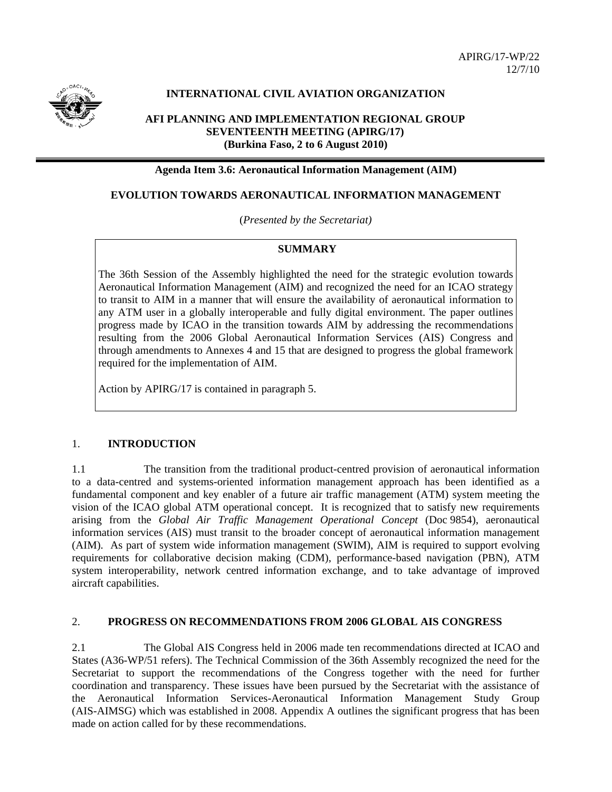

# **INTERNATIONAL CIVIL AVIATION ORGANIZATION**

# **AFI PLANNING AND IMPLEMENTATION REGIONAL GROUP SEVENTEENTH MEETING (APIRG/17) (Burkina Faso, 2 to 6 August 2010)**

# **Agenda Item 3.6: Aeronautical Information Management (AIM)**

# **EVOLUTION TOWARDS AERONAUTICAL INFORMATION MANAGEMENT**

(*Presented by the Secretariat)* 

### **SUMMARY**

The 36th Session of the Assembly highlighted the need for the strategic evolution towards Aeronautical Information Management (AIM) and recognized the need for an ICAO strategy to transit to AIM in a manner that will ensure the availability of aeronautical information to any ATM user in a globally interoperable and fully digital environment. The paper outlines progress made by ICAO in the transition towards AIM by addressing the recommendations resulting from the 2006 Global Aeronautical Information Services (AIS) Congress and through amendments to Annexes 4 and 15 that are designed to progress the global framework required for the implementation of AIM.

Action by APIRG/17 is contained in paragraph 5.

## 1. **INTRODUCTION**

1.1 The transition from the traditional product-centred provision of aeronautical information to a data-centred and systems-oriented information management approach has been identified as a fundamental component and key enabler of a future air traffic management (ATM) system meeting the vision of the ICAO global ATM operational concept. It is recognized that to satisfy new requirements arising from the *Global Air Traffic Management Operational Concept* (Doc 9854), aeronautical information services (AIS) must transit to the broader concept of aeronautical information management (AIM). As part of system wide information management (SWIM), AIM is required to support evolving requirements for collaborative decision making (CDM), performance-based navigation (PBN), ATM system interoperability, network centred information exchange, and to take advantage of improved aircraft capabilities.

# 2. **PROGRESS ON RECOMMENDATIONS FROM 2006 GLOBAL AIS CONGRESS**

2.1 The Global AIS Congress held in 2006 made ten recommendations directed at ICAO and States (A36-WP/51 refers). The Technical Commission of the 36th Assembly recognized the need for the Secretariat to support the recommendations of the Congress together with the need for further coordination and transparency. These issues have been pursued by the Secretariat with the assistance of the Aeronautical Information Services-Aeronautical Information Management Study Group (AIS-AIMSG) which was established in 2008. Appendix A outlines the significant progress that has been made on action called for by these recommendations.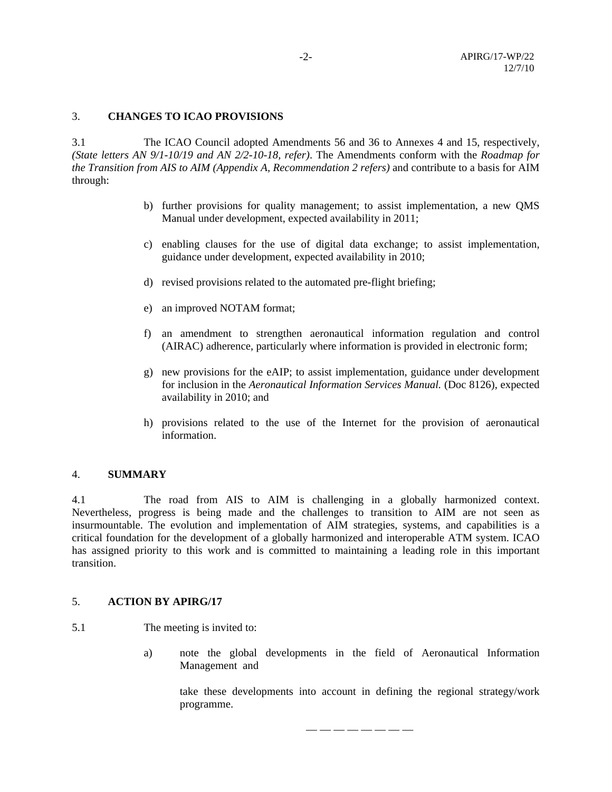# 3. **CHANGES TO ICAO PROVISIONS**

3.1 The ICAO Council adopted Amendments 56 and 36 to Annexes 4 and 15, respectively, *(State letters AN 9/1-10/19 and AN 2/2-10-18, refer)*. The Amendments conform with the *Roadmap for the Transition from AIS to AIM (Appendix A, Recommendation 2 refers)* and contribute to a basis for AIM through:

- b) further provisions for quality management; to assist implementation, a new QMS Manual under development, expected availability in 2011;
- c) enabling clauses for the use of digital data exchange; to assist implementation, guidance under development, expected availability in 2010;
- d) revised provisions related to the automated pre-flight briefing;
- e) an improved NOTAM format;
- f) an amendment to strengthen aeronautical information regulation and control (AIRAC) adherence, particularly where information is provided in electronic form;
- g) new provisions for the eAIP; to assist implementation, guidance under development for inclusion in the *Aeronautical Information Services Manual.* (Doc 8126), expected availability in 2010; and
- h) provisions related to the use of the Internet for the provision of aeronautical information.

# 4. **SUMMARY**

4.1 The road from AIS to AIM is challenging in a globally harmonized context. Nevertheless, progress is being made and the challenges to transition to AIM are not seen as insurmountable. The evolution and implementation of AIM strategies, systems, and capabilities is a critical foundation for the development of a globally harmonized and interoperable ATM system. ICAO has assigned priority to this work and is committed to maintaining a leading role in this important transition.

# 5. **ACTION BY APIRG/17**

- 5.1 The meeting is invited to:
	- a) note the global developments in the field of Aeronautical Information Management and

take these developments into account in defining the regional strategy/work programme.

— — — — — — — —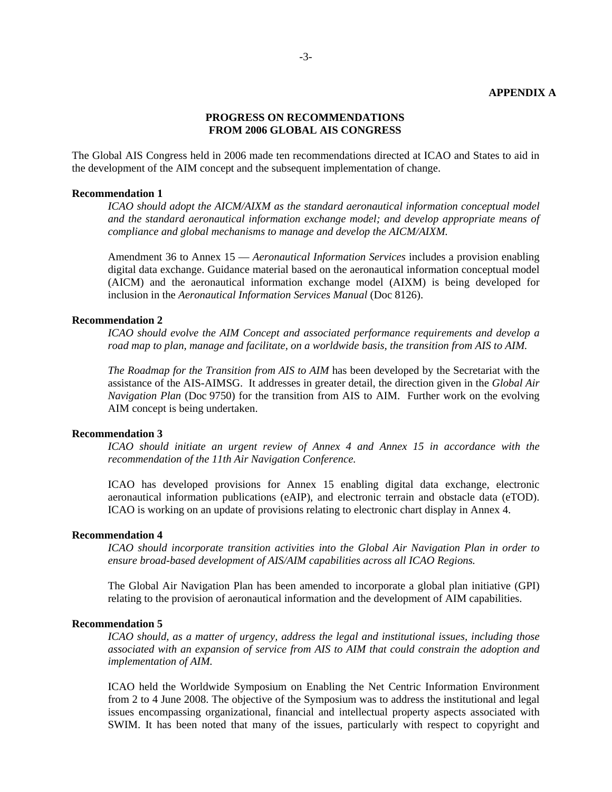# **PROGRESS ON RECOMMENDATIONS FROM 2006 GLOBAL AIS CONGRESS**

The Global AIS Congress held in 2006 made ten recommendations directed at ICAO and States to aid in the development of the AIM concept and the subsequent implementation of change.

#### **Recommendation 1**

*ICAO should adopt the AICM/AIXM as the standard aeronautical information conceptual model and the standard aeronautical information exchange model; and develop appropriate means of compliance and global mechanisms to manage and develop the AICM/AIXM.* 

Amendment 36 to Annex 15 — *Aeronautical Information Services* includes a provision enabling digital data exchange. Guidance material based on the aeronautical information conceptual model (AICM) and the aeronautical information exchange model (AIXM) is being developed for inclusion in the *Aeronautical Information Services Manual* (Doc 8126).

#### **Recommendation 2**

*ICAO should evolve the AIM Concept and associated performance requirements and develop a road map to plan, manage and facilitate, on a worldwide basis, the transition from AIS to AIM.* 

*The Roadmap for the Transition from AIS to AIM* has been developed by the Secretariat with the assistance of the AIS-AIMSG. It addresses in greater detail, the direction given in the *Global Air Navigation Plan* (Doc 9750) for the transition from AIS to AIM. Further work on the evolving AIM concept is being undertaken.

# **Recommendation 3**

*ICAO should initiate an urgent review of Annex 4 and Annex 15 in accordance with the recommendation of the 11th Air Navigation Conference.* 

ICAO has developed provisions for Annex 15 enabling digital data exchange, electronic aeronautical information publications (eAIP), and electronic terrain and obstacle data (eTOD). ICAO is working on an update of provisions relating to electronic chart display in Annex 4.

# **Recommendation 4**

*ICAO should incorporate transition activities into the Global Air Navigation Plan in order to ensure broad-based development of AIS/AIM capabilities across all ICAO Regions.* 

The Global Air Navigation Plan has been amended to incorporate a global plan initiative (GPI) relating to the provision of aeronautical information and the development of AIM capabilities.

#### **Recommendation 5**

*ICAO should, as a matter of urgency, address the legal and institutional issues, including those associated with an expansion of service from AIS to AIM that could constrain the adoption and implementation of AIM.* 

ICAO held the Worldwide Symposium on Enabling the Net Centric Information Environment from 2 to 4 June 2008. The objective of the Symposium was to address the institutional and legal issues encompassing organizational, financial and intellectual property aspects associated with SWIM. It has been noted that many of the issues, particularly with respect to copyright and